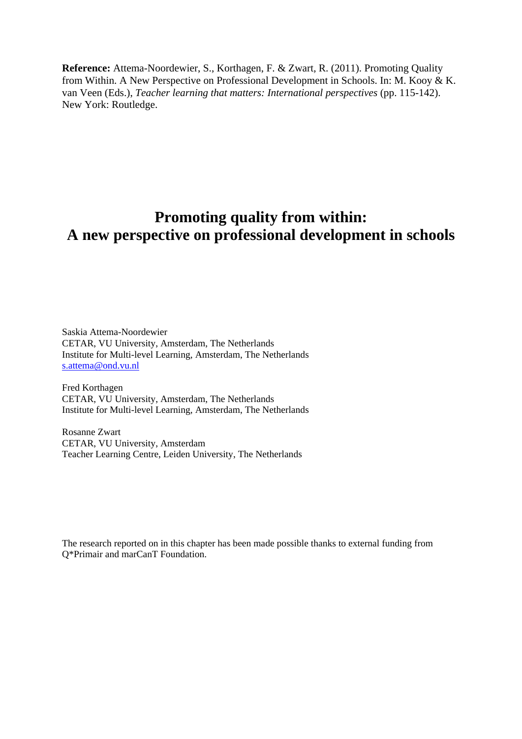**Reference:** Attema-Noordewier, S., Korthagen, F. & Zwart, R. (2011). Promoting Quality from Within. A New Perspective on Professional Development in Schools. In: M. Kooy & K. van Veen (Eds.), *Teacher learning that matters: International perspectives* (pp. 115-142). New York: Routledge.

# **Promoting quality from within: A new perspective on professional development in schools**

Saskia Attema-Noordewier CETAR, VU University, Amsterdam, The Netherlands Institute for Multi-level Learning, Amsterdam, The Netherlands s.attema@ond.vu.nl

Fred Korthagen CETAR, VU University, Amsterdam, The Netherlands Institute for Multi-level Learning, Amsterdam, The Netherlands

Rosanne Zwart CETAR, VU University, Amsterdam Teacher Learning Centre, Leiden University, The Netherlands

The research reported on in this chapter has been made possible thanks to external funding from Q\*Primair and marCanT Foundation.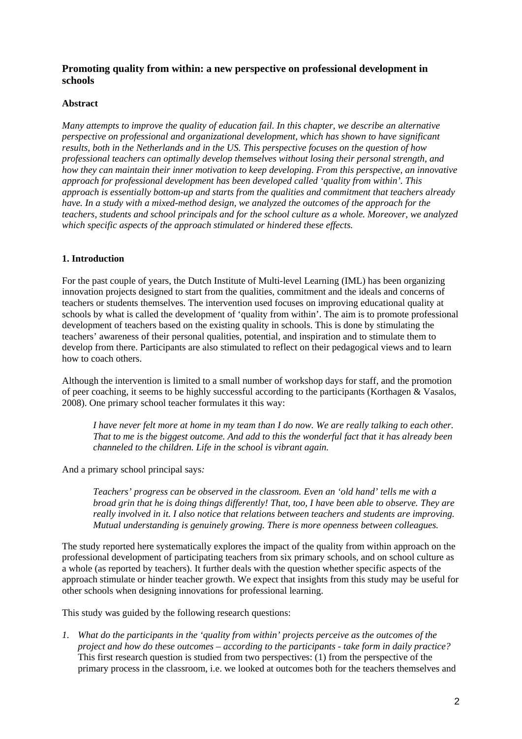# **Promoting quality from within: a new perspective on professional development in schools**

## **Abstract**

*Many attempts to improve the quality of education fail. In this chapter, we describe an alternative perspective on professional and organizational development, which has shown to have significant results, both in the Netherlands and in the US. This perspective focuses on the question of how professional teachers can optimally develop themselves without losing their personal strength, and how they can maintain their inner motivation to keep developing. From this perspective, an innovative approach for professional development has been developed called 'quality from within'. This approach is essentially bottom-up and starts from the qualities and commitment that teachers already have. In a study with a mixed-method design, we analyzed the outcomes of the approach for the teachers, students and school principals and for the school culture as a whole. Moreover, we analyzed which specific aspects of the approach stimulated or hindered these effects.* 

## **1. Introduction**

For the past couple of years, the Dutch Institute of Multi-level Learning (IML) has been organizing innovation projects designed to start from the qualities, commitment and the ideals and concerns of teachers or students themselves. The intervention used focuses on improving educational quality at schools by what is called the development of 'quality from within'. The aim is to promote professional development of teachers based on the existing quality in schools. This is done by stimulating the teachers' awareness of their personal qualities, potential, and inspiration and to stimulate them to develop from there. Participants are also stimulated to reflect on their pedagogical views and to learn how to coach others.

Although the intervention is limited to a small number of workshop days for staff, and the promotion of peer coaching, it seems to be highly successful according to the participants (Korthagen & Vasalos, 2008). One primary school teacher formulates it this way:

*I have never felt more at home in my team than I do now. We are really talking to each other. That to me is the biggest outcome. And add to this the wonderful fact that it has already been channeled to the children. Life in the school is vibrant again.*

And a primary school principal says*:* 

*Teachers' progress can be observed in the classroom. Even an 'old hand' tells me with a broad grin that he is doing things differently! That, too, I have been able to observe. They are really involved in it. I also notice that relations between teachers and students are improving. Mutual understanding is genuinely growing. There is more openness between colleagues.* 

The study reported here systematically explores the impact of the quality from within approach on the professional development of participating teachers from six primary schools, and on school culture as a whole (as reported by teachers). It further deals with the question whether specific aspects of the approach stimulate or hinder teacher growth. We expect that insights from this study may be useful for other schools when designing innovations for professional learning.

This study was guided by the following research questions:

*1. What do the participants in the 'quality from within' projects perceive as the outcomes of the project and how do these outcomes – according to the participants - take form in daily practice?*  This first research question is studied from two perspectives: (1) from the perspective of the primary process in the classroom, i.e. we looked at outcomes both for the teachers themselves and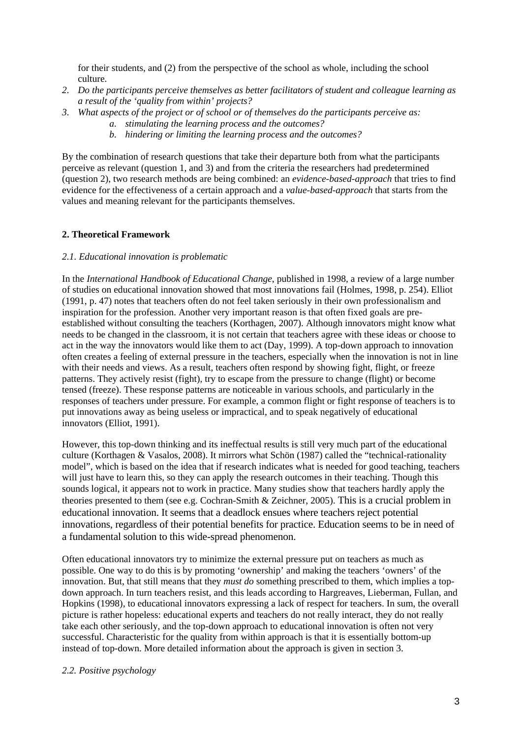for their students, and (2) from the perspective of the school as whole, including the school culture.

- *2. Do the participants perceive themselves as better facilitators of student and colleague learning as a result of the 'quality from within' projects?*
- *3. What aspects of the project or of school or of themselves do the participants perceive as:* 
	- *a. stimulating the learning process and the outcomes?*
	- *b. hindering or limiting the learning process and the outcomes?*

By the combination of research questions that take their departure both from what the participants perceive as relevant (question 1, and 3) and from the criteria the researchers had predetermined (question 2), two research methods are being combined: an *evidence-based-approach* that tries to find evidence for the effectiveness of a certain approach and a *value-based-approach* that starts from the values and meaning relevant for the participants themselves.

# **2. Theoretical Framework**

## *2.1. Educational innovation is problematic*

In the *International Handbook of Educational Change*, published in 1998, a review of a large number of studies on educational innovation showed that most innovations fail (Holmes, 1998, p. 254). Elliot (1991, p. 47) notes that teachers often do not feel taken seriously in their own professionalism and inspiration for the profession. Another very important reason is that often fixed goals are preestablished without consulting the teachers (Korthagen, 2007). Although innovators might know what needs to be changed in the classroom, it is not certain that teachers agree with these ideas or choose to act in the way the innovators would like them to act (Day, 1999). A top-down approach to innovation often creates a feeling of external pressure in the teachers, especially when the innovation is not in line with their needs and views. As a result, teachers often respond by showing fight, flight, or freeze patterns. They actively resist (fight), try to escape from the pressure to change (flight) or become tensed (freeze). These response patterns are noticeable in various schools, and particularly in the responses of teachers under pressure. For example, a common flight or fight response of teachers is to put innovations away as being useless or impractical, and to speak negatively of educational innovators (Elliot, 1991).

However, this top-down thinking and its ineffectual results is still very much part of the educational culture (Korthagen & Vasalos, 2008). It mirrors what Schön (1987) called the "technical-rationality model", which is based on the idea that if research indicates what is needed for good teaching, teachers will just have to learn this, so they can apply the research outcomes in their teaching. Though this sounds logical, it appears not to work in practice. Many studies show that teachers hardly apply the theories presented to them (see e.g. Cochran-Smith & Zeichner, 2005). This is a crucial problem in educational innovation. It seems that a deadlock ensues where teachers reject potential innovations, regardless of their potential benefits for practice. Education seems to be in need of a fundamental solution to this wide-spread phenomenon.

Often educational innovators try to minimize the external pressure put on teachers as much as possible. One way to do this is by promoting 'ownership' and making the teachers 'owners' of the innovation. But, that still means that they *must do* something prescribed to them, which implies a topdown approach. In turn teachers resist, and this leads according to Hargreaves, Lieberman, Fullan, and Hopkins (1998), to educational innovators expressing a lack of respect for teachers. In sum, the overall picture is rather hopeless: educational experts and teachers do not really interact, they do not really take each other seriously, and the top-down approach to educational innovation is often not very successful. Characteristic for the quality from within approach is that it is essentially bottom-up instead of top-down. More detailed information about the approach is given in section 3.

## *2.2. Positive psychology*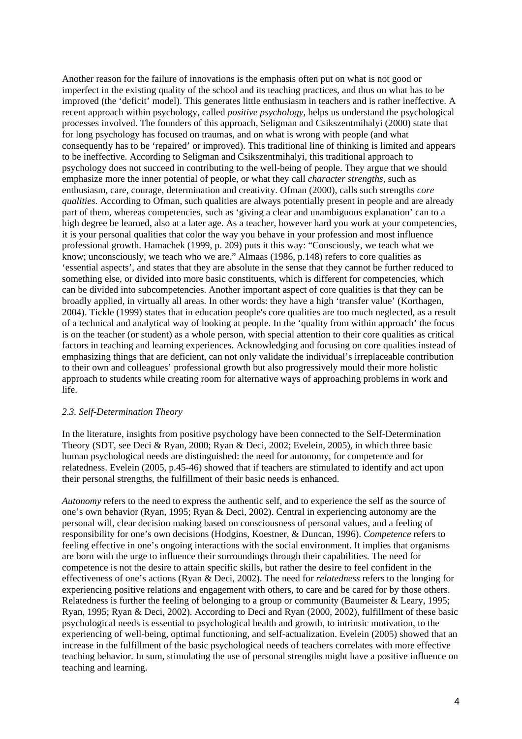Another reason for the failure of innovations is the emphasis often put on what is not good or imperfect in the existing quality of the school and its teaching practices, and thus on what has to be improved (the 'deficit' model). This generates little enthusiasm in teachers and is rather ineffective. A recent approach within psychology, called *positive psychology*, helps us understand the psychological processes involved. The founders of this approach, Seligman and Csikszentmihalyi (2000) state that for long psychology has focused on traumas, and on what is wrong with people (and what consequently has to be 'repaired' or improved). This traditional line of thinking is limited and appears to be ineffective. According to Seligman and Csikszentmihalyi, this traditional approach to psychology does not succeed in contributing to the well-being of people. They argue that we should emphasize more the inner potential of people, or what they call *character strengths*, such as enthusiasm, care, courage, determination and creativity. Ofman (2000), calls such strengths *core qualities.* According to Ofman, such qualities are always potentially present in people and are already part of them, whereas competencies, such as 'giving a clear and unambiguous explanation' can to a high degree be learned, also at a later age. As a teacher, however hard you work at your competencies, it is your personal qualities that color the way you behave in your profession and most influence professional growth. Hamachek (1999, p. 209) puts it this way: "Consciously, we teach what we know; unconsciously, we teach who we are." Almaas (1986, p.148) refers to core qualities as 'essential aspects', and states that they are absolute in the sense that they cannot be further reduced to something else, or divided into more basic constituents, which is different for competencies, which can be divided into subcompetencies. Another important aspect of core qualities is that they can be broadly applied, in virtually all areas. In other words: they have a high 'transfer value' (Korthagen, 2004). Tickle (1999) states that in education people's core qualities are too much neglected, as a result of a technical and analytical way of looking at people. In the 'quality from within approach' the focus is on the teacher (or student) as a whole person, with special attention to their core qualities as critical factors in teaching and learning experiences. Acknowledging and focusing on core qualities instead of emphasizing things that are deficient, can not only validate the individual's irreplaceable contribution to their own and colleagues' professional growth but also progressively mould their more holistic approach to students while creating room for alternative ways of approaching problems in work and life.

## *2.3. Self-Determination Theory*

In the literature, insights from positive psychology have been connected to the Self-Determination Theory (SDT, see Deci & Ryan, 2000; Ryan & Deci, 2002; Evelein, 2005), in which three basic human psychological needs are distinguished: the need for autonomy, for competence and for relatedness. Evelein (2005, p.45-46) showed that if teachers are stimulated to identify and act upon their personal strengths, the fulfillment of their basic needs is enhanced.

*Autonomy* refers to the need to express the authentic self, and to experience the self as the source of one's own behavior (Ryan, 1995; Ryan & Deci, 2002). Central in experiencing autonomy are the personal will, clear decision making based on consciousness of personal values, and a feeling of responsibility for one's own decisions (Hodgins, Koestner, & Duncan, 1996). *Competence* refers to feeling effective in one's ongoing interactions with the social environment. It implies that organisms are born with the urge to influence their surroundings through their capabilities. The need for competence is not the desire to attain specific skills, but rather the desire to feel confident in the effectiveness of one's actions (Ryan & Deci, 2002). The need for *relatedness* refers to the longing for experiencing positive relations and engagement with others, to care and be cared for by those others. Relatedness is further the feeling of belonging to a group or community (Baumeister  $\&$  Leary, 1995; Ryan, 1995; Ryan & Deci, 2002). According to Deci and Ryan (2000, 2002), fulfillment of these basic psychological needs is essential to psychological health and growth, to intrinsic motivation, to the experiencing of well-being, optimal functioning, and self-actualization. Evelein (2005) showed that an increase in the fulfillment of the basic psychological needs of teachers correlates with more effective teaching behavior. In sum, stimulating the use of personal strengths might have a positive influence on teaching and learning.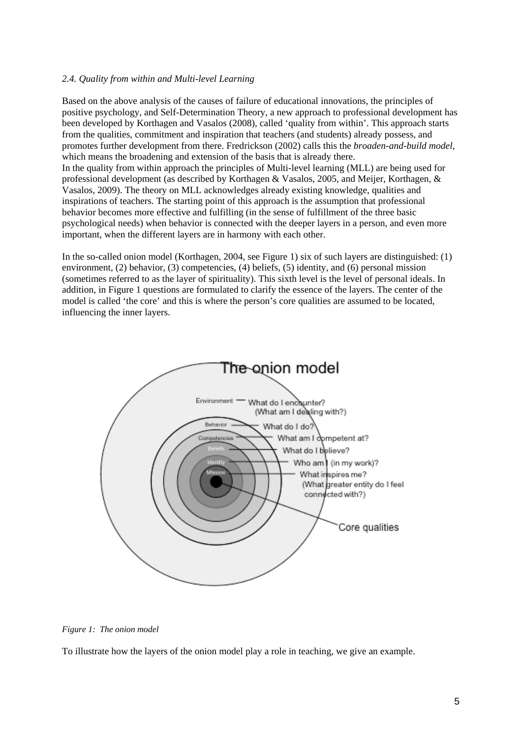## *2.4. Quality from within and Multi-level Learning*

Based on the above analysis of the causes of failure of educational innovations, the principles of positive psychology, and Self-Determination Theory, a new approach to professional development has been developed by Korthagen and Vasalos (2008), called 'quality from within'. This approach starts from the qualities, commitment and inspiration that teachers (and students) already possess, and promotes further development from there. Fredrickson (2002) calls this the *broaden-and-build model*, which means the broadening and extension of the basis that is already there. In the quality from within approach the principles of Multi-level learning (MLL) are being used for professional development (as described by Korthagen & Vasalos, 2005, and Meijer, Korthagen, & Vasalos, 2009). The theory on MLL acknowledges already existing knowledge, qualities and inspirations of teachers. The starting point of this approach is the assumption that professional behavior becomes more effective and fulfilling (in the sense of fulfillment of the three basic psychological needs) when behavior is connected with the deeper layers in a person, and even more important, when the different layers are in harmony with each other.

In the so-called onion model (Korthagen, 2004, see Figure 1) six of such layers are distinguished: (1) environment, (2) behavior, (3) competencies, (4) beliefs, (5) identity, and (6) personal mission (sometimes referred to as the layer of spirituality). This sixth level is the level of personal ideals. In addition, in Figure 1 questions are formulated to clarify the essence of the layers. The center of the model is called 'the core' and this is where the person's core qualities are assumed to be located, influencing the inner layers.



#### *Figure 1: The onion model*

To illustrate how the layers of the onion model play a role in teaching, we give an example.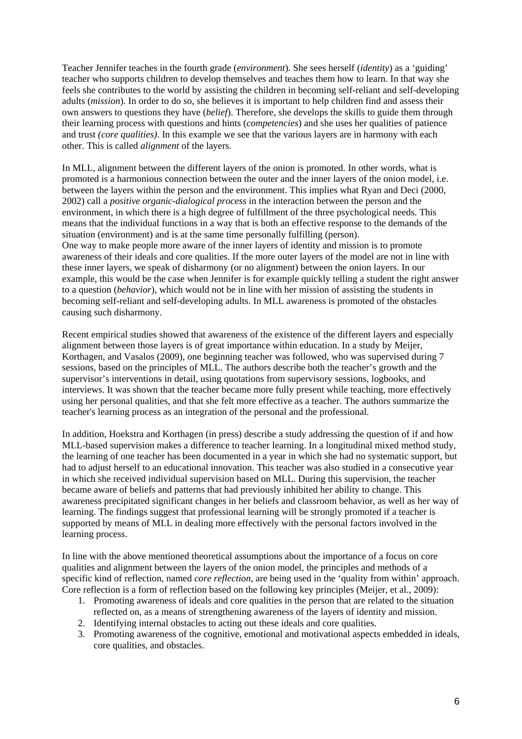Teacher Jennifer teaches in the fourth grade (*environment*). She sees herself (*identity*) as a 'guiding' teacher who supports children to develop themselves and teaches them how to learn. In that way she feels she contributes to the world by assisting the children in becoming self-reliant and self-developing adults (*mission*). In order to do so, she believes it is important to help children find and assess their own answers to questions they have (*belief*). Therefore, she develops the skills to guide them through their learning process with questions and hints (*competencies*) and she uses her qualities of patience and trust *(core qualities)*. In this example we see that the various layers are in harmony with each other. This is called *alignment* of the layers.

In MLL, alignment between the different layers of the onion is promoted. In other words, what is promoted is a harmonious connection between the outer and the inner layers of the onion model, i.e. between the layers within the person and the environment. This implies what Ryan and Deci (2000, 2002) call a *positive organic-dialogical process* in the interaction between the person and the environment, in which there is a high degree of fulfillment of the three psychological needs. This means that the individual functions in a way that is both an effective response to the demands of the situation (environment) and is at the same time personally fulfilling (person). One way to make people more aware of the inner layers of identity and mission is to promote awareness of their ideals and core qualities. If the more outer layers of the model are not in line with these inner layers, we speak of disharmony (or no alignment) between the onion layers. In our example, this would be the case when Jennifer is for example quickly telling a student the right answer to a question (*behavior*), which would not be in line with her mission of assisting the students in becoming self-reliant and self-developing adults. In MLL awareness is promoted of the obstacles causing such disharmony.

Recent empirical studies showed that awareness of the existence of the different layers and especially alignment between those layers is of great importance within education. In a study by Meijer, Korthagen, and Vasalos (2009), one beginning teacher was followed, who was supervised during 7 sessions, based on the principles of MLL. The authors describe both the teacher's growth and the supervisor's interventions in detail, using quotations from supervisory sessions, logbooks, and interviews. It was shown that the teacher became more fully present while teaching, more effectively using her personal qualities, and that she felt more effective as a teacher. The authors summarize the teacher's learning process as an integration of the personal and the professional.

In addition, Hoekstra and Korthagen (in press) describe a study addressing the question of if and how MLL-based supervision makes a difference to teacher learning. In a longitudinal mixed method study, the learning of one teacher has been documented in a year in which she had no systematic support, but had to adjust herself to an educational innovation. This teacher was also studied in a consecutive year in which she received individual supervision based on MLL. During this supervision, the teacher became aware of beliefs and patterns that had previously inhibited her ability to change. This awareness precipitated significant changes in her beliefs and classroom behavior, as well as her way of learning. The findings suggest that professional learning will be strongly promoted if a teacher is supported by means of MLL in dealing more effectively with the personal factors involved in the learning process.

In line with the above mentioned theoretical assumptions about the importance of a focus on core qualities and alignment between the layers of the onion model, the principles and methods of a specific kind of reflection, named *core reflection*, are being used in the 'quality from within' approach. Core reflection is a form of reflection based on the following key principles (Meijer, et al., 2009):

- 1. Promoting awareness of ideals and core qualities in the person that are related to the situation reflected on, as a means of strengthening awareness of the layers of identity and mission.
- 2. Identifying internal obstacles to acting out these ideals and core qualities.
- 3. Promoting awareness of the cognitive, emotional and motivational aspects embedded in ideals, core qualities, and obstacles.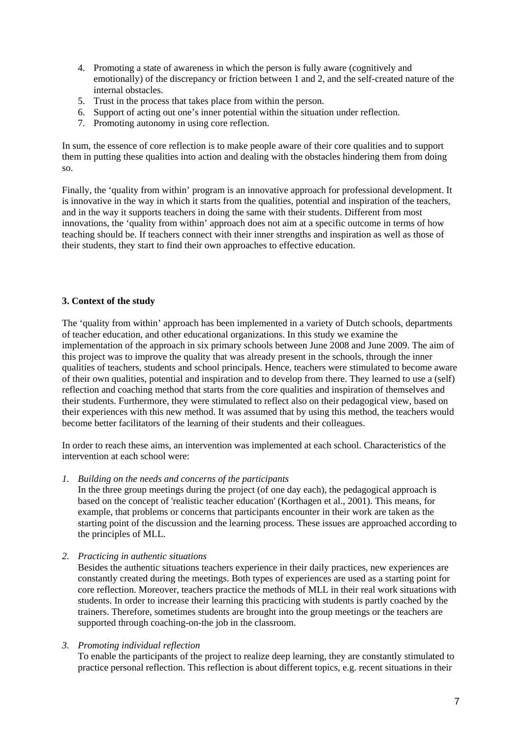- 4. Promoting a state of awareness in which the person is fully aware (cognitively and emotionally) of the discrepancy or friction between 1 and 2, and the self-created nature of the internal obstacles.
- 5. Trust in the process that takes place from within the person.
- 6. Support of acting out one's inner potential within the situation under reflection.
- 7. Promoting autonomy in using core reflection.

In sum, the essence of core reflection is to make people aware of their core qualities and to support them in putting these qualities into action and dealing with the obstacles hindering them from doing so.

Finally, the 'quality from within' program is an innovative approach for professional development. It is innovative in the way in which it starts from the qualities, potential and inspiration of the teachers, and in the way it supports teachers in doing the same with their students. Different from most innovations, the 'quality from within' approach does not aim at a specific outcome in terms of how teaching should be. If teachers connect with their inner strengths and inspiration as well as those of their students, they start to find their own approaches to effective education.

# **3. Context of the study**

The 'quality from within' approach has been implemented in a variety of Dutch schools, departments of teacher education, and other educational organizations. In this study we examine the implementation of the approach in six primary schools between June 2008 and June 2009. The aim of this project was to improve the quality that was already present in the schools, through the inner qualities of teachers, students and school principals. Hence, teachers were stimulated to become aware of their own qualities, potential and inspiration and to develop from there. They learned to use a (self) reflection and coaching method that starts from the core qualities and inspiration of themselves and their students. Furthermore, they were stimulated to reflect also on their pedagogical view, based on their experiences with this new method. It was assumed that by using this method, the teachers would become better facilitators of the learning of their students and their colleagues.

In order to reach these aims, an intervention was implemented at each school. Characteristics of the intervention at each school were:

*1. Building on the needs and concerns of the participants* 

In the three group meetings during the project (of one day each), the pedagogical approach is based on the concept of 'realistic teacher education' (Korthagen et al., 2001). This means, for example, that problems or concerns that participants encounter in their work are taken as the starting point of the discussion and the learning process. These issues are approached according to the principles of MLL.

*2. Practicing in authentic situations* 

Besides the authentic situations teachers experience in their daily practices, new experiences are constantly created during the meetings. Both types of experiences are used as a starting point for core reflection. Moreover, teachers practice the methods of MLL in their real work situations with students. In order to increase their learning this practicing with students is partly coached by the trainers. Therefore, sometimes students are brought into the group meetings or the teachers are supported through coaching-on-the job in the classroom.

## *3. Promoting individual reflection*

To enable the participants of the project to realize deep learning, they are constantly stimulated to practice personal reflection. This reflection is about different topics, e.g. recent situations in their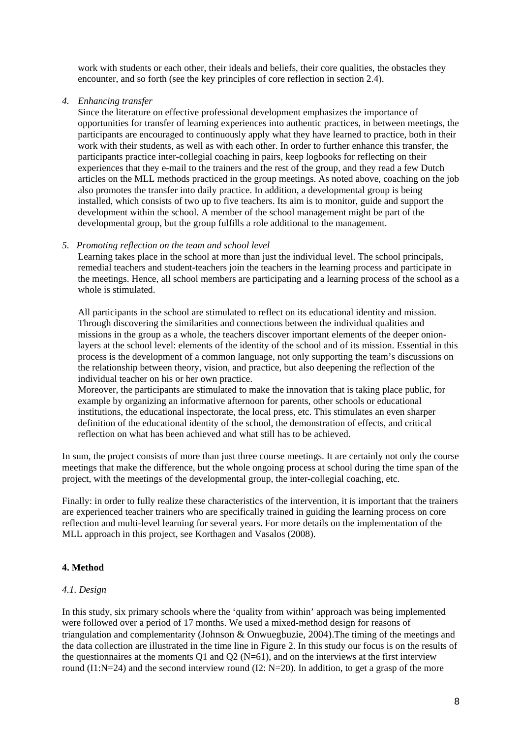work with students or each other, their ideals and beliefs, their core qualities, the obstacles they encounter, and so forth (see the key principles of core reflection in section 2.4).

## *4. Enhancing transfer*

Since the literature on effective professional development emphasizes the importance of opportunities for transfer of learning experiences into authentic practices, in between meetings, the participants are encouraged to continuously apply what they have learned to practice, both in their work with their students, as well as with each other. In order to further enhance this transfer, the participants practice inter-collegial coaching in pairs, keep logbooks for reflecting on their experiences that they e-mail to the trainers and the rest of the group, and they read a few Dutch articles on the MLL methods practiced in the group meetings. As noted above, coaching on the job also promotes the transfer into daily practice. In addition, a developmental group is being installed, which consists of two up to five teachers. Its aim is to monitor, guide and support the development within the school. A member of the school management might be part of the developmental group, but the group fulfills a role additional to the management.

## *5. Promoting reflection on the team and school level*

Learning takes place in the school at more than just the individual level. The school principals, remedial teachers and student-teachers join the teachers in the learning process and participate in the meetings. Hence, all school members are participating and a learning process of the school as a whole is stimulated.

All participants in the school are stimulated to reflect on its educational identity and mission. Through discovering the similarities and connections between the individual qualities and missions in the group as a whole, the teachers discover important elements of the deeper onionlayers at the school level: elements of the identity of the school and of its mission. Essential in this process is the development of a common language, not only supporting the team's discussions on the relationship between theory, vision, and practice, but also deepening the reflection of the individual teacher on his or her own practice.

Moreover, the participants are stimulated to make the innovation that is taking place public, for example by organizing an informative afternoon for parents, other schools or educational institutions, the educational inspectorate, the local press, etc. This stimulates an even sharper definition of the educational identity of the school, the demonstration of effects, and critical reflection on what has been achieved and what still has to be achieved.

In sum, the project consists of more than just three course meetings. It are certainly not only the course meetings that make the difference, but the whole ongoing process at school during the time span of the project, with the meetings of the developmental group, the inter-collegial coaching, etc.

Finally: in order to fully realize these characteristics of the intervention, it is important that the trainers are experienced teacher trainers who are specifically trained in guiding the learning process on core reflection and multi-level learning for several years. For more details on the implementation of the MLL approach in this project, see Korthagen and Vasalos (2008).

## **4. Method**

## *4.1. Design*

In this study, six primary schools where the 'quality from within' approach was being implemented were followed over a period of 17 months. We used a mixed-method design for reasons of triangulation and complementarity (Johnson & Onwuegbuzie, 2004).The timing of the meetings and the data collection are illustrated in the time line in Figure 2. In this study our focus is on the results of the questionnaires at the moments Q1 and Q2 ( $N=61$ ), and on the interviews at the first interview round (I1:N=24) and the second interview round (I2: N=20). In addition, to get a grasp of the more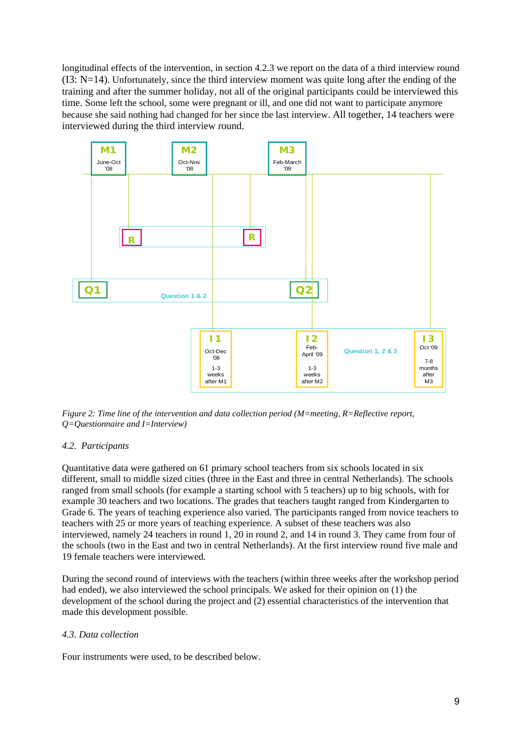longitudinal effects of the intervention, in section 4.2.3 we report on the data of a third interview round (I3: N=14). Unfortunately, since the third interview moment was quite long after the ending of the training and after the summer holiday, not all of the original participants could be interviewed this time. Some left the school, some were pregnant or ill, and one did not want to participate anymore because she said nothing had changed for her since the last interview. All together, 14 teachers were interviewed during the third interview round.



*Figure 2: Time line of the intervention and data collection period (M=meeting, R=Reflective report, Q=Questionnaire and I=Interview)* 

## *4.2. Participants*

Quantitative data were gathered on 61 primary school teachers from six schools located in six different, small to middle sized cities (three in the East and three in central Netherlands). The schools ranged from small schools (for example a starting school with 5 teachers) up to big schools, with for example 30 teachers and two locations. The grades that teachers taught ranged from Kindergarten to Grade 6. The years of teaching experience also varied. The participants ranged from novice teachers to teachers with 25 or more years of teaching experience. A subset of these teachers was also interviewed, namely 24 teachers in round 1, 20 in round 2, and 14 in round 3. They came from four of the schools (two in the East and two in central Netherlands). At the first interview round five male and 19 female teachers were interviewed.

During the second round of interviews with the teachers (within three weeks after the workshop period had ended), we also interviewed the school principals. We asked for their opinion on (1) the development of the school during the project and (2) essential characteristics of the intervention that made this development possible.

## *4.3. Data collection*

Four instruments were used, to be described below.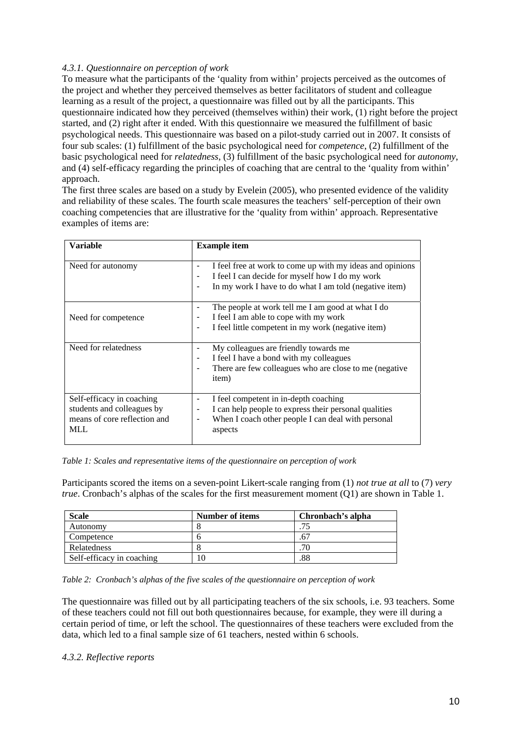## *4.3.1. Questionnaire on perception of work*

To measure what the participants of the 'quality from within' projects perceived as the outcomes of the project and whether they perceived themselves as better facilitators of student and colleague learning as a result of the project, a questionnaire was filled out by all the participants. This questionnaire indicated how they perceived (themselves within) their work, (1) right before the project started, and (2) right after it ended. With this questionnaire we measured the fulfillment of basic psychological needs. This questionnaire was based on a pilot-study carried out in 2007. It consists of four sub scales: (1) fulfillment of the basic psychological need for *competence*, (2) fulfillment of the basic psychological need for *relatedness*, (3) fulfillment of the basic psychological need for *autonomy*, and (4) self-efficacy regarding the principles of coaching that are central to the 'quality from within' approach.

The first three scales are based on a study by Evelein (2005), who presented evidence of the validity and reliability of these scales. The fourth scale measures the teachers' self-perception of their own coaching competencies that are illustrative for the 'quality from within' approach. Representative examples of items are:

| <b>Variable</b>                                                                                | <b>Example</b> item                                                                                                                                                    |
|------------------------------------------------------------------------------------------------|------------------------------------------------------------------------------------------------------------------------------------------------------------------------|
| Need for autonomy                                                                              | I feel free at work to come up with my ideas and opinions<br>I feel I can decide for myself how I do my work<br>In my work I have to do what I am told (negative item) |
| Need for competence                                                                            | The people at work tell me I am good at what I do<br>I feel I am able to cope with my work<br>I feel little competent in my work (negative item)                       |
| Need for relatedness                                                                           | My colleagues are friendly towards me<br>I feel I have a bond with my colleagues<br>There are few colleagues who are close to me (negative)<br>item)                   |
| Self-efficacy in coaching<br>students and colleagues by<br>means of core reflection and<br>MLL | I feel competent in in-depth coaching<br>I can help people to express their personal qualities<br>When I coach other people I can deal with personal<br>۰<br>aspects   |

*Table 1: Scales and representative items of the questionnaire on perception of work*

Participants scored the items on a seven-point Likert-scale ranging from (1) *not true at all* to (7) *very true*. Cronbach's alphas of the scales for the first measurement moment (Q1) are shown in Table 1.

| <b>Scale</b>              | Number of items | Chronbach's alpha |
|---------------------------|-----------------|-------------------|
| Autonomy                  |                 |                   |
| Competence                |                 | .61               |
| Relatedness               |                 |                   |
| Self-efficacy in coaching |                 | 88                |

*Table 2: Cronbach's alphas of the five scales of the questionnaire on perception of work* 

The questionnaire was filled out by all participating teachers of the six schools, i.e. 93 teachers. Some of these teachers could not fill out both questionnaires because, for example, they were ill during a certain period of time, or left the school. The questionnaires of these teachers were excluded from the data, which led to a final sample size of 61 teachers, nested within 6 schools.

## *4.3.2. Reflective reports*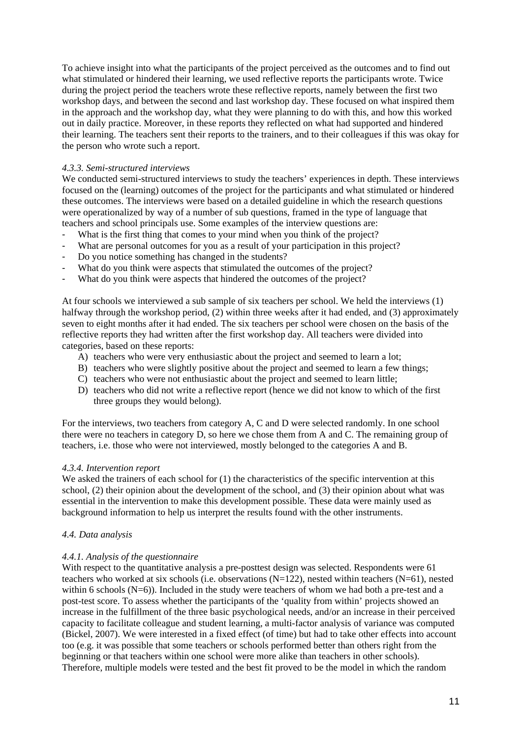To achieve insight into what the participants of the project perceived as the outcomes and to find out what stimulated or hindered their learning, we used reflective reports the participants wrote. Twice during the project period the teachers wrote these reflective reports, namely between the first two workshop days, and between the second and last workshop day. These focused on what inspired them in the approach and the workshop day, what they were planning to do with this, and how this worked out in daily practice. Moreover, in these reports they reflected on what had supported and hindered their learning. The teachers sent their reports to the trainers, and to their colleagues if this was okay for the person who wrote such a report.

## *4.3.3. Semi-structured interviews*

We conducted semi-structured interviews to study the teachers' experiences in depth. These interviews focused on the (learning) outcomes of the project for the participants and what stimulated or hindered these outcomes. The interviews were based on a detailed guideline in which the research questions were operationalized by way of a number of sub questions, framed in the type of language that teachers and school principals use. Some examples of the interview questions are:

- What is the first thing that comes to your mind when you think of the project?
- What are personal outcomes for you as a result of your participation in this project?
- Do you notice something has changed in the students?
- What do you think were aspects that stimulated the outcomes of the project?
- What do you think were aspects that hindered the outcomes of the project?

At four schools we interviewed a sub sample of six teachers per school. We held the interviews (1) halfway through the workshop period, (2) within three weeks after it had ended, and (3) approximately seven to eight months after it had ended. The six teachers per school were chosen on the basis of the reflective reports they had written after the first workshop day. All teachers were divided into categories, based on these reports:

- A) teachers who were very enthusiastic about the project and seemed to learn a lot;
- B) teachers who were slightly positive about the project and seemed to learn a few things;
- C) teachers who were not enthusiastic about the project and seemed to learn little;
- D) teachers who did not write a reflective report (hence we did not know to which of the first three groups they would belong).

For the interviews, two teachers from category A, C and D were selected randomly. In one school there were no teachers in category D, so here we chose them from A and C. The remaining group of teachers, i.e. those who were not interviewed, mostly belonged to the categories A and B.

## *4.3.4. Intervention report*

We asked the trainers of each school for  $(1)$  the characteristics of the specific intervention at this school, (2) their opinion about the development of the school, and (3) their opinion about what was essential in the intervention to make this development possible. These data were mainly used as background information to help us interpret the results found with the other instruments.

# *4.4. Data analysis*

# *4.4.1. Analysis of the questionnaire*

With respect to the quantitative analysis a pre-posttest design was selected. Respondents were 61 teachers who worked at six schools (i.e. observations  $(N=122)$ , nested within teachers  $(N=61)$ , nested within 6 schools (N=6)). Included in the study were teachers of whom we had both a pre-test and a post-test score. To assess whether the participants of the 'quality from within' projects showed an increase in the fulfillment of the three basic psychological needs, and/or an increase in their perceived capacity to facilitate colleague and student learning, a multi-factor analysis of variance was computed (Bickel, 2007). We were interested in a fixed effect (of time) but had to take other effects into account too (e.g. it was possible that some teachers or schools performed better than others right from the beginning or that teachers within one school were more alike than teachers in other schools). Therefore, multiple models were tested and the best fit proved to be the model in which the random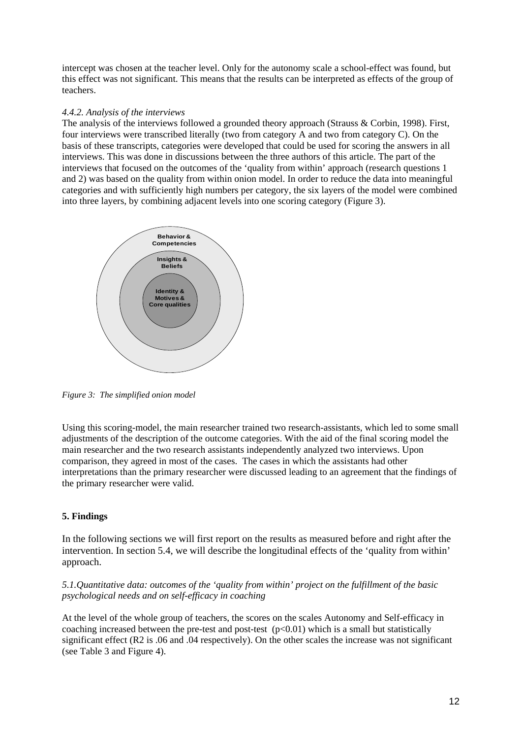intercept was chosen at the teacher level. Only for the autonomy scale a school-effect was found, but this effect was not significant. This means that the results can be interpreted as effects of the group of teachers.

## *4.4.2. Analysis of the interviews*

The analysis of the interviews followed a grounded theory approach (Strauss & Corbin, 1998). First, four interviews were transcribed literally (two from category A and two from category C). On the basis of these transcripts, categories were developed that could be used for scoring the answers in all interviews. This was done in discussions between the three authors of this article. The part of the interviews that focused on the outcomes of the 'quality from within' approach (research questions 1 and 2) was based on the quality from within onion model. In order to reduce the data into meaningful categories and with sufficiently high numbers per category, the six layers of the model were combined into three layers, by combining adjacent levels into one scoring category (Figure 3).



*Figure 3: The simplified onion model* 

Using this scoring-model, the main researcher trained two research-assistants, which led to some small adjustments of the description of the outcome categories. With the aid of the final scoring model the main researcher and the two research assistants independently analyzed two interviews. Upon comparison, they agreed in most of the cases. The cases in which the assistants had other interpretations than the primary researcher were discussed leading to an agreement that the findings of the primary researcher were valid.

# **5. Findings**

In the following sections we will first report on the results as measured before and right after the intervention. In section 5.4, we will describe the longitudinal effects of the 'quality from within' approach.

## *5.1.Quantitative data: outcomes of the 'quality from within' project on the fulfillment of the basic psychological needs and on self-efficacy in coaching*

At the level of the whole group of teachers, the scores on the scales Autonomy and Self-efficacy in coaching increased between the pre-test and post-test  $(p<0.01)$  which is a small but statistically significant effect (R2 is .06 and .04 respectively). On the other scales the increase was not significant (see Table 3 and Figure 4).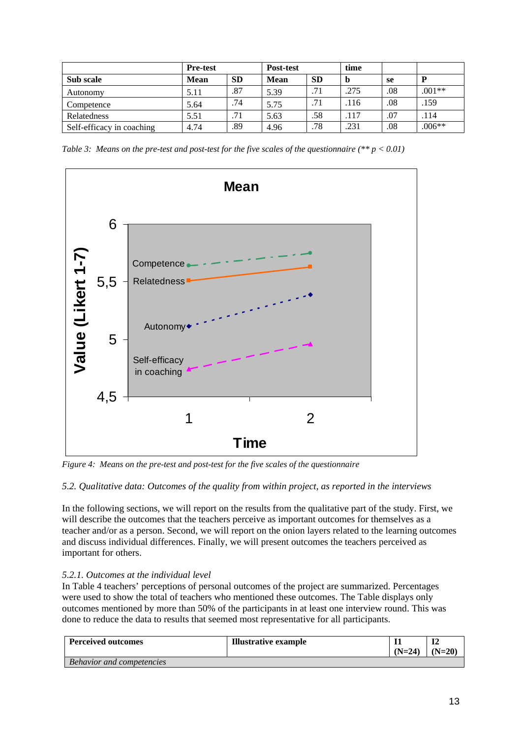|                           | <b>Pre-test</b> |           | Post-test   |           | time |         |          |
|---------------------------|-----------------|-----------|-------------|-----------|------|---------|----------|
| Sub scale                 | <b>Mean</b>     | <b>SD</b> | <b>Mean</b> | <b>SD</b> | D    | se      |          |
| Autonomy                  | 5.11            | .87       | 5.39        | .71       | .275 | .08     | $.001**$ |
| Competence                | 5.64            | .74       | 5.75        | .71       | .116 | .08     | .159     |
| Relatedness               | 5.51            | .71       | 5.63        | .58       | .117 | .07     | .114     |
| Self-efficacy in coaching | 4.74            | .89       | 4.96        | .78       | .231 | $.08\,$ | $.006**$ |

*Table 3: Means on the pre-test and post-test for the five scales of the questionnaire (\*\* p < 0.01)*



*Figure 4: Means on the pre-test and post-test for the five scales of the questionnaire* 

# *5.2. Qualitative data: Outcomes of the quality from within project, as reported in the interviews*

In the following sections, we will report on the results from the qualitative part of the study. First, we will describe the outcomes that the teachers perceive as important outcomes for themselves as a teacher and/or as a person. Second, we will report on the onion layers related to the learning outcomes and discuss individual differences. Finally, we will present outcomes the teachers perceived as important for others.

# *5.2.1. Outcomes at the individual level*

In Table 4 teachers' perceptions of personal outcomes of the project are summarized. Percentages were used to show the total of teachers who mentioned these outcomes. The Table displays only outcomes mentioned by more than 50% of the participants in at least one interview round. This was done to reduce the data to results that seemed most representative for all participants.

| <b>Perceived outcomes</b>        | <b>Illustrative example</b> | $(N=24)$ | тA<br>$(N=20)$ |
|----------------------------------|-----------------------------|----------|----------------|
| <b>Behavior and competencies</b> |                             |          |                |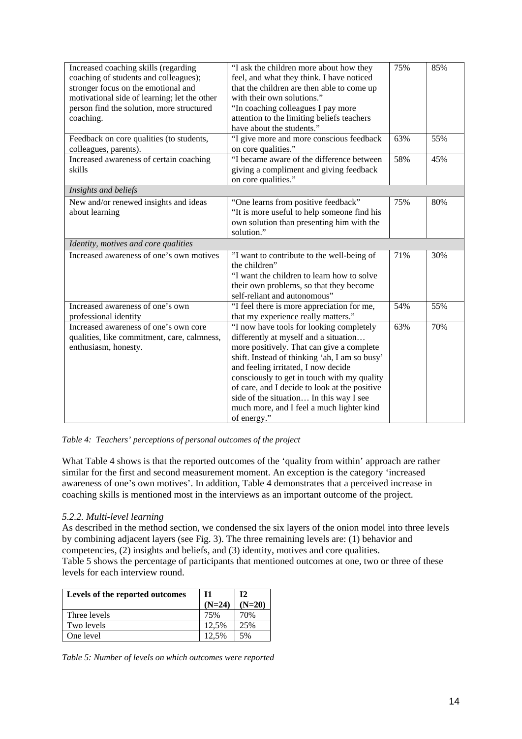| 75%<br>Increased coaching skills (regarding<br>85%<br>"I ask the children more about how they<br>coaching of students and colleagues);<br>feel, and what they think. I have noticed<br>stronger focus on the emotional and<br>that the children are then able to come up<br>motivational side of learning; let the other<br>with their own solutions."<br>"In coaching colleagues I pay more<br>person find the solution, more structured |
|-------------------------------------------------------------------------------------------------------------------------------------------------------------------------------------------------------------------------------------------------------------------------------------------------------------------------------------------------------------------------------------------------------------------------------------------|
|                                                                                                                                                                                                                                                                                                                                                                                                                                           |
|                                                                                                                                                                                                                                                                                                                                                                                                                                           |
|                                                                                                                                                                                                                                                                                                                                                                                                                                           |
|                                                                                                                                                                                                                                                                                                                                                                                                                                           |
|                                                                                                                                                                                                                                                                                                                                                                                                                                           |
| attention to the limiting beliefs teachers<br>coaching.                                                                                                                                                                                                                                                                                                                                                                                   |
| have about the students."                                                                                                                                                                                                                                                                                                                                                                                                                 |
| "I give more and more conscious feedback<br>63%<br>55%<br>Feedback on core qualities (to students,                                                                                                                                                                                                                                                                                                                                        |
| on core qualities."<br>colleagues, parents).                                                                                                                                                                                                                                                                                                                                                                                              |
| "I became aware of the difference between<br>Increased awareness of certain coaching<br>58%<br>45%                                                                                                                                                                                                                                                                                                                                        |
| skills<br>giving a compliment and giving feedback                                                                                                                                                                                                                                                                                                                                                                                         |
| on core qualities."                                                                                                                                                                                                                                                                                                                                                                                                                       |
| Insights and beliefs                                                                                                                                                                                                                                                                                                                                                                                                                      |
| New and/or renewed insights and ideas<br>"One learns from positive feedback"<br>75%<br>80%                                                                                                                                                                                                                                                                                                                                                |
| "It is more useful to help someone find his<br>about learning                                                                                                                                                                                                                                                                                                                                                                             |
| own solution than presenting him with the                                                                                                                                                                                                                                                                                                                                                                                                 |
| solution."                                                                                                                                                                                                                                                                                                                                                                                                                                |
| Identity, motives and core qualities                                                                                                                                                                                                                                                                                                                                                                                                      |
| Increased awareness of one's own motives<br>"I want to contribute to the well-being of<br>71%<br>30%                                                                                                                                                                                                                                                                                                                                      |
| the children"                                                                                                                                                                                                                                                                                                                                                                                                                             |
| "I want the children to learn how to solve                                                                                                                                                                                                                                                                                                                                                                                                |
| their own problems, so that they become                                                                                                                                                                                                                                                                                                                                                                                                   |
| self-reliant and autonomous"                                                                                                                                                                                                                                                                                                                                                                                                              |
| Increased awareness of one's own<br>"I feel there is more appreciation for me,<br>54%<br>55%                                                                                                                                                                                                                                                                                                                                              |
| that my experience really matters."<br>professional identity                                                                                                                                                                                                                                                                                                                                                                              |
| Increased awareness of one's own core<br>63%<br>"I now have tools for looking completely<br>70%                                                                                                                                                                                                                                                                                                                                           |
| qualities, like commitment, care, calmness,<br>differently at myself and a situation                                                                                                                                                                                                                                                                                                                                                      |
| enthusiasm, honesty.<br>more positively. That can give a complete                                                                                                                                                                                                                                                                                                                                                                         |
| shift. Instead of thinking 'ah, I am so busy'                                                                                                                                                                                                                                                                                                                                                                                             |
|                                                                                                                                                                                                                                                                                                                                                                                                                                           |
|                                                                                                                                                                                                                                                                                                                                                                                                                                           |
| and feeling irritated, I now decide                                                                                                                                                                                                                                                                                                                                                                                                       |
| consciously to get in touch with my quality                                                                                                                                                                                                                                                                                                                                                                                               |
| of care, and I decide to look at the positive                                                                                                                                                                                                                                                                                                                                                                                             |
| side of the situation In this way I see<br>much more, and I feel a much lighter kind                                                                                                                                                                                                                                                                                                                                                      |

*Table 4: Teachers' perceptions of personal outcomes of the project* 

What Table 4 shows is that the reported outcomes of the 'quality from within' approach are rather similar for the first and second measurement moment. An exception is the category 'increased awareness of one's own motives'. In addition, Table 4 demonstrates that a perceived increase in coaching skills is mentioned most in the interviews as an important outcome of the project.

# *5.2.2. Multi-level learning*

As described in the method section, we condensed the six layers of the onion model into three levels by combining adjacent layers (see Fig. 3). The three remaining levels are: (1) behavior and competencies, (2) insights and beliefs, and (3) identity, motives and core qualities. Table 5 shows the percentage of participants that mentioned outcomes at one, two or three of these levels for each interview round.

| Levels of the reported outcomes | 11       | $\mathbf{I2}$ |
|---------------------------------|----------|---------------|
|                                 | $(N=24)$ | $(N=20)$      |
| Three levels                    | 75%      | 70%           |
| Two levels                      | 12.5%    | 25%           |
| One level                       | 12.5%    | 5%            |

*Table 5: Number of levels on which outcomes were reported*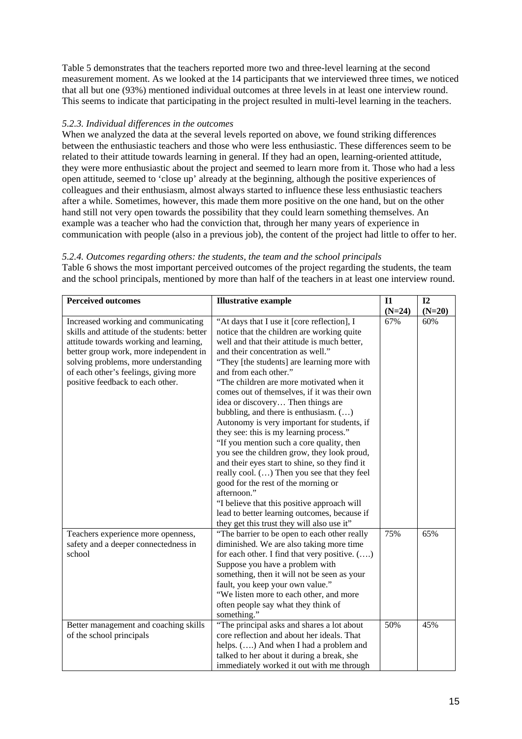Table 5 demonstrates that the teachers reported more two and three-level learning at the second measurement moment. As we looked at the 14 participants that we interviewed three times, we noticed that all but one (93%) mentioned individual outcomes at three levels in at least one interview round. This seems to indicate that participating in the project resulted in multi-level learning in the teachers.

## *5.2.3. Individual differences in the outcomes*

When we analyzed the data at the several levels reported on above, we found striking differences between the enthusiastic teachers and those who were less enthusiastic. These differences seem to be related to their attitude towards learning in general. If they had an open, learning-oriented attitude, they were more enthusiastic about the project and seemed to learn more from it. Those who had a less open attitude, seemed to 'close up' already at the beginning, although the positive experiences of colleagues and their enthusiasm, almost always started to influence these less enthusiastic teachers after a while. Sometimes, however, this made them more positive on the one hand, but on the other hand still not very open towards the possibility that they could learn something themselves. An example was a teacher who had the conviction that, through her many years of experience in communication with people (also in a previous job), the content of the project had little to offer to her.

## *5.2.4. Outcomes regarding others: the students, the team and the school principals*

Table 6 shows the most important perceived outcomes of the project regarding the students, the team and the school principals, mentioned by more than half of the teachers in at least one interview round.

| <b>Perceived outcomes</b>                   | <b>Illustrative example</b>                    | I <sub>1</sub> | I2       |
|---------------------------------------------|------------------------------------------------|----------------|----------|
|                                             |                                                | $(N=24)$       | $(N=20)$ |
| Increased working and communicating         | "At days that I use it [core reflection], I    | 67%            | 60%      |
| skills and attitude of the students: better | notice that the children are working quite     |                |          |
| attitude towards working and learning,      | well and that their attitude is much better,   |                |          |
| better group work, more independent in      | and their concentration as well."              |                |          |
| solving problems, more understanding        | "They [the students] are learning more with    |                |          |
| of each other's feelings, giving more       | and from each other."                          |                |          |
| positive feedback to each other.            | "The children are more motivated when it       |                |          |
|                                             | comes out of themselves, if it was their own   |                |          |
|                                             | idea or discovery Then things are              |                |          |
|                                             | bubbling, and there is enthusiasm. $()$        |                |          |
|                                             | Autonomy is very important for students, if    |                |          |
|                                             | they see: this is my learning process."        |                |          |
|                                             | "If you mention such a core quality, then      |                |          |
|                                             | you see the children grow, they look proud,    |                |          |
|                                             | and their eyes start to shine, so they find it |                |          |
|                                             | really cool. () Then you see that they feel    |                |          |
|                                             | good for the rest of the morning or            |                |          |
|                                             | afternoon."                                    |                |          |
|                                             | "I believe that this positive approach will    |                |          |
|                                             | lead to better learning outcomes, because if   |                |          |
|                                             | they get this trust they will also use it"     |                |          |
| Teachers experience more openness,          | "The barrier to be open to each other really   | 75%            | 65%      |
| safety and a deeper connectedness in        | diminished. We are also taking more time       |                |          |
| school                                      | for each other. I find that very positive. ()  |                |          |
|                                             | Suppose you have a problem with                |                |          |
|                                             | something, then it will not be seen as your    |                |          |
|                                             | fault, you keep your own value."               |                |          |
|                                             | "We listen more to each other, and more        |                |          |
|                                             | often people say what they think of            |                |          |
|                                             | something."                                    |                |          |
| Better management and coaching skills       | "The principal asks and shares a lot about     | 50%            | 45%      |
| of the school principals                    | core reflection and about her ideals. That     |                |          |
|                                             | helps. () And when I had a problem and         |                |          |
|                                             | talked to her about it during a break, she     |                |          |
|                                             | immediately worked it out with me through      |                |          |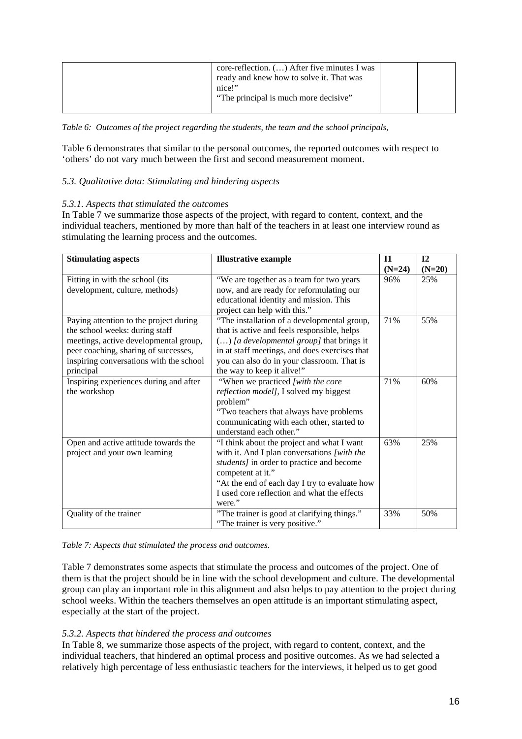| core-reflection. $()$ After five minutes I was<br>ready and knew how to solve it. That was<br>nice!"<br>"The principal is much more decisive" |  |
|-----------------------------------------------------------------------------------------------------------------------------------------------|--|
|                                                                                                                                               |  |

*Table 6: Outcomes of the project regarding the students, the team and the school principals,*

Table 6 demonstrates that similar to the personal outcomes, the reported outcomes with respect to 'others' do not vary much between the first and second measurement moment.

## *5.3. Qualitative data: Stimulating and hindering aspects*

## *5.3.1. Aspects that stimulated the outcomes*

In Table 7 we summarize those aspects of the project, with regard to content, context, and the individual teachers, mentioned by more than half of the teachers in at least one interview round as stimulating the learning process and the outcomes.

| <b>Stimulating aspects</b>                                                                                                                                                                                        | <b>Illustrative example</b>                                                                                                                                                                                                                                            | $\mathbf{I}$<br>$(N=24)$ | $\mathbf{I2}$<br>$(N=20)$ |
|-------------------------------------------------------------------------------------------------------------------------------------------------------------------------------------------------------------------|------------------------------------------------------------------------------------------------------------------------------------------------------------------------------------------------------------------------------------------------------------------------|--------------------------|---------------------------|
| Fitting in with the school (its<br>development, culture, methods)                                                                                                                                                 | "We are together as a team for two years<br>now, and are ready for reformulating our<br>educational identity and mission. This<br>project can help with this."                                                                                                         | 96%                      | 25%                       |
| Paying attention to the project during<br>the school weeks: during staff<br>meetings, active developmental group,<br>peer coaching, sharing of successes,<br>inspiring conversations with the school<br>principal | "The installation of a developmental group,<br>that is active and feels responsible, helps<br>$()$ [a developmental group] that brings it<br>in at staff meetings, and does exercises that<br>you can also do in your classroom. That is<br>the way to keep it alive!" | 71%                      | 55%                       |
| Inspiring experiences during and after<br>the workshop                                                                                                                                                            | "When we practiced [with the core<br>reflection model], I solved my biggest<br>problem"<br>"Two teachers that always have problems<br>communicating with each other, started to<br>understand each other."                                                             | 71%                      | 60%                       |
| Open and active attitude towards the<br>project and your own learning                                                                                                                                             | "I think about the project and what I want<br>with it. And I plan conversations [with the<br>students] in order to practice and become<br>competent at it."<br>"At the end of each day I try to evaluate how<br>I used core reflection and what the effects<br>were."  | 63%                      | 25%                       |
| Quality of the trainer                                                                                                                                                                                            | "The trainer is good at clarifying things."<br>"The trainer is very positive."                                                                                                                                                                                         | 33%                      | 50%                       |

*Table 7: Aspects that stimulated the process and outcomes.* 

Table 7 demonstrates some aspects that stimulate the process and outcomes of the project. One of them is that the project should be in line with the school development and culture. The developmental group can play an important role in this alignment and also helps to pay attention to the project during school weeks. Within the teachers themselves an open attitude is an important stimulating aspect, especially at the start of the project.

## *5.3.2. Aspects that hindered the process and outcomes*

In Table 8, we summarize those aspects of the project, with regard to content, context, and the individual teachers, that hindered an optimal process and positive outcomes. As we had selected a relatively high percentage of less enthusiastic teachers for the interviews, it helped us to get good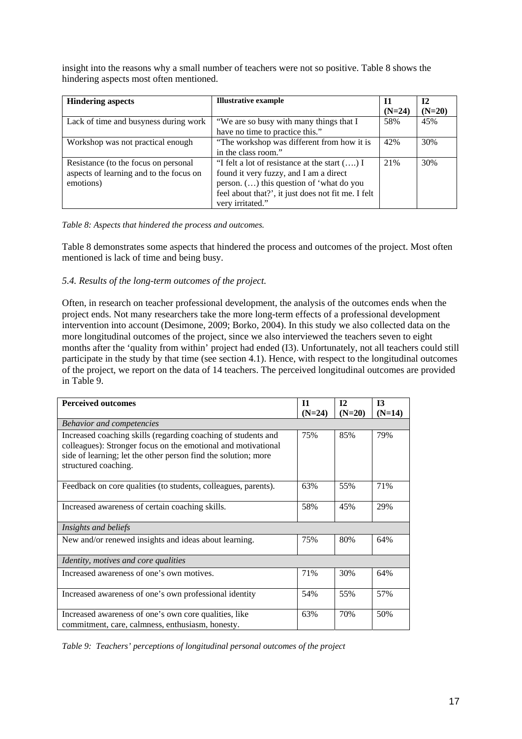insight into the reasons why a small number of teachers were not so positive. Table 8 shows the hindering aspects most often mentioned.

| <b>Hindering aspects</b>                | <b>Illustrative example</b>                        | 11       | 12       |
|-----------------------------------------|----------------------------------------------------|----------|----------|
|                                         |                                                    | $(N=24)$ | $(N=20)$ |
| Lack of time and busyness during work   | "We are so busy with many things that I            | 58%      | 45%      |
|                                         | have no time to practice this."                    |          |          |
| Workshop was not practical enough       | "The workshop was different from how it is         | 42%      | 30%      |
|                                         | in the class room."                                |          |          |
| Resistance (to the focus on personal    | "I felt a lot of resistance at the start $()$ I    | 21%      | 30%      |
| aspects of learning and to the focus on | found it very fuzzy, and I am a direct             |          |          |
| emotions)                               | person. () this question of 'what do you           |          |          |
|                                         | feel about that?', it just does not fit me. I felt |          |          |
|                                         | very irritated."                                   |          |          |

*Table 8: Aspects that hindered the process and outcomes.*

Table 8 demonstrates some aspects that hindered the process and outcomes of the project. Most often mentioned is lack of time and being busy.

## *5.4. Results of the long-term outcomes of the project.*

Often, in research on teacher professional development, the analysis of the outcomes ends when the project ends. Not many researchers take the more long-term effects of a professional development intervention into account (Desimone, 2009; Borko, 2004). In this study we also collected data on the more longitudinal outcomes of the project, since we also interviewed the teachers seven to eight months after the 'quality from within' project had ended (I3). Unfortunately, not all teachers could still participate in the study by that time (see section 4.1). Hence, with respect to the longitudinal outcomes of the project, we report on the data of 14 teachers. The perceived longitudinal outcomes are provided in Table 9.

| <b>Perceived outcomes</b>                                                                                                                                                                                                | I <sub>1</sub> | 12       | I <sub>3</sub> |
|--------------------------------------------------------------------------------------------------------------------------------------------------------------------------------------------------------------------------|----------------|----------|----------------|
|                                                                                                                                                                                                                          | $(N=24)$       | $(N=20)$ | $(N=14)$       |
| <b>Behavior and competencies</b>                                                                                                                                                                                         |                |          |                |
| Increased coaching skills (regarding coaching of students and<br>colleagues): Stronger focus on the emotional and motivational<br>side of learning; let the other person find the solution; more<br>structured coaching. | 75%            | 85%      | 79%            |
| Feedback on core qualities (to students, colleagues, parents).                                                                                                                                                           | 63%            | 55%      | 71%            |
| Increased awareness of certain coaching skills.                                                                                                                                                                          | 58%            | 45%      | 29%            |
| Insights and beliefs                                                                                                                                                                                                     |                |          |                |
| New and/or renewed insights and ideas about learning.                                                                                                                                                                    | 75%            | 80%      | 64%            |
| Identity, motives and core qualities                                                                                                                                                                                     |                |          |                |
| Increased awareness of one's own motives.                                                                                                                                                                                | 71%            | 30%      | 64%            |
| Increased awareness of one's own professional identity                                                                                                                                                                   | 54%            | 55%      | 57%            |
| Increased awareness of one's own core qualities, like<br>commitment, care, calmness, enthusiasm, honesty.                                                                                                                | 63%            | 70%      | 50%            |

*Table 9: Teachers' perceptions of longitudinal personal outcomes of the project*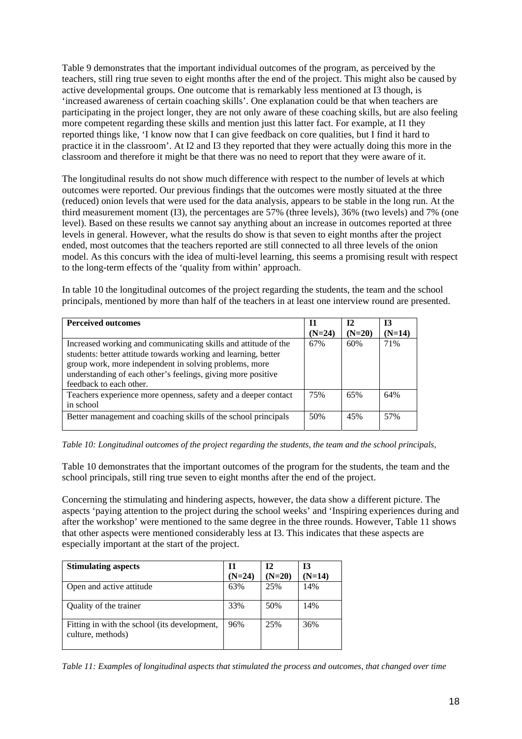Table 9 demonstrates that the important individual outcomes of the program, as perceived by the teachers, still ring true seven to eight months after the end of the project. This might also be caused by active developmental groups. One outcome that is remarkably less mentioned at I3 though, is 'increased awareness of certain coaching skills'. One explanation could be that when teachers are participating in the project longer, they are not only aware of these coaching skills, but are also feeling more competent regarding these skills and mention just this latter fact. For example, at I1 they reported things like, 'I know now that I can give feedback on core qualities, but I find it hard to practice it in the classroom'. At I2 and I3 they reported that they were actually doing this more in the classroom and therefore it might be that there was no need to report that they were aware of it.

The longitudinal results do not show much difference with respect to the number of levels at which outcomes were reported. Our previous findings that the outcomes were mostly situated at the three (reduced) onion levels that were used for the data analysis, appears to be stable in the long run. At the third measurement moment (I3), the percentages are 57% (three levels), 36% (two levels) and 7% (one level). Based on these results we cannot say anything about an increase in outcomes reported at three levels in general. However, what the results do show is that seven to eight months after the project ended, most outcomes that the teachers reported are still connected to all three levels of the onion model. As this concurs with the idea of multi-level learning, this seems a promising result with respect to the long-term effects of the 'quality from within' approach.

In table 10 the longitudinal outcomes of the project regarding the students, the team and the school principals, mentioned by more than half of the teachers in at least one interview round are presented.

| <b>Perceived outcomes</b>                                                                                                                                                                                                                                                             | 11       | 12       | 13       |
|---------------------------------------------------------------------------------------------------------------------------------------------------------------------------------------------------------------------------------------------------------------------------------------|----------|----------|----------|
|                                                                                                                                                                                                                                                                                       | $(N=24)$ | $(N=20)$ | $(N=14)$ |
| Increased working and communicating skills and attitude of the<br>students: better attitude towards working and learning, better<br>group work, more independent in solving problems, more<br>understanding of each other's feelings, giving more positive<br>feedback to each other. | 67%      | 60%      | 71%      |
| Teachers experience more openness, safety and a deeper contact<br>in school                                                                                                                                                                                                           | 75%      | 65%      | 64%      |
| Better management and coaching skills of the school principals                                                                                                                                                                                                                        | 50%      | 45%      | 57%      |

*Table 10: Longitudinal outcomes of the project regarding the students, the team and the school principals,*

Table 10 demonstrates that the important outcomes of the program for the students, the team and the school principals, still ring true seven to eight months after the end of the project.

Concerning the stimulating and hindering aspects, however, the data show a different picture. The aspects 'paying attention to the project during the school weeks' and 'Inspiring experiences during and after the workshop' were mentioned to the same degree in the three rounds. However, Table 11 shows that other aspects were mentioned considerably less at I3. This indicates that these aspects are especially important at the start of the project.

| <b>Stimulating aspects</b>                                        | $(N=24)$ | 12<br>$(N=20)$ | 13<br>$(N=14)$ |
|-------------------------------------------------------------------|----------|----------------|----------------|
| Open and active attitude                                          | 63%      | 25%            | 14%            |
| Quality of the trainer                                            | 33%      | 50%            | 14%            |
| Fitting in with the school (its development,<br>culture, methods) | 96%      | 25%            | 36%            |

*Table 11: Examples of longitudinal aspects that stimulated the process and outcomes, that changed over time*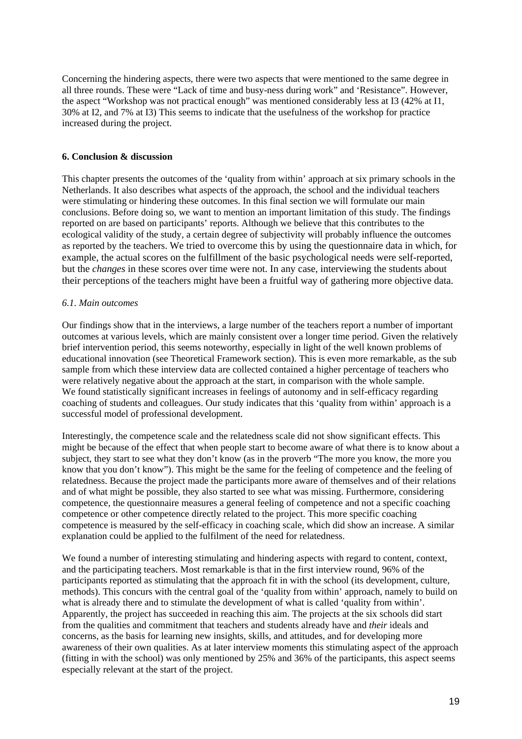Concerning the hindering aspects, there were two aspects that were mentioned to the same degree in all three rounds. These were "Lack of time and busy-ness during work" and 'Resistance". However, the aspect "Workshop was not practical enough" was mentioned considerably less at I3 (42% at I1, 30% at I2, and 7% at I3) This seems to indicate that the usefulness of the workshop for practice increased during the project.

## **6. Conclusion & discussion**

This chapter presents the outcomes of the 'quality from within' approach at six primary schools in the Netherlands. It also describes what aspects of the approach, the school and the individual teachers were stimulating or hindering these outcomes. In this final section we will formulate our main conclusions. Before doing so, we want to mention an important limitation of this study. The findings reported on are based on participants' reports. Although we believe that this contributes to the ecological validity of the study, a certain degree of subjectivity will probably influence the outcomes as reported by the teachers. We tried to overcome this by using the questionnaire data in which, for example, the actual scores on the fulfillment of the basic psychological needs were self-reported, but the *changes* in these scores over time were not. In any case, interviewing the students about their perceptions of the teachers might have been a fruitful way of gathering more objective data.

## *6.1. Main outcomes*

Our findings show that in the interviews, a large number of the teachers report a number of important outcomes at various levels, which are mainly consistent over a longer time period. Given the relatively brief intervention period, this seems noteworthy, especially in light of the well known problems of educational innovation (see Theoretical Framework section). This is even more remarkable, as the sub sample from which these interview data are collected contained a higher percentage of teachers who were relatively negative about the approach at the start, in comparison with the whole sample. We found statistically significant increases in feelings of autonomy and in self-efficacy regarding coaching of students and colleagues. Our study indicates that this 'quality from within' approach is a successful model of professional development.

Interestingly, the competence scale and the relatedness scale did not show significant effects. This might be because of the effect that when people start to become aware of what there is to know about a subject, they start to see what they don't know (as in the proverb "The more you know, the more you know that you don't know"). This might be the same for the feeling of competence and the feeling of relatedness. Because the project made the participants more aware of themselves and of their relations and of what might be possible, they also started to see what was missing. Furthermore, considering competence, the questionnaire measures a general feeling of competence and not a specific coaching competence or other competence directly related to the project. This more specific coaching competence is measured by the self-efficacy in coaching scale, which did show an increase. A similar explanation could be applied to the fulfilment of the need for relatedness.

We found a number of interesting stimulating and hindering aspects with regard to content, context, and the participating teachers. Most remarkable is that in the first interview round, 96% of the participants reported as stimulating that the approach fit in with the school (its development, culture, methods). This concurs with the central goal of the 'quality from within' approach, namely to build on what is already there and to stimulate the development of what is called 'quality from within'. Apparently, the project has succeeded in reaching this aim. The projects at the six schools did start from the qualities and commitment that teachers and students already have and *their* ideals and concerns, as the basis for learning new insights, skills, and attitudes, and for developing more awareness of their own qualities. As at later interview moments this stimulating aspect of the approach (fitting in with the school) was only mentioned by 25% and 36% of the participants, this aspect seems especially relevant at the start of the project.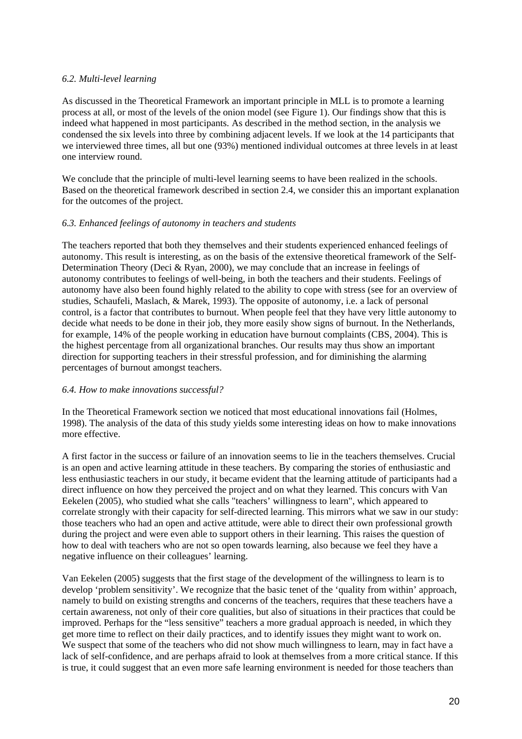## *6.2. Multi-level learning*

As discussed in the Theoretical Framework an important principle in MLL is to promote a learning process at all, or most of the levels of the onion model (see Figure 1). Our findings show that this is indeed what happened in most participants. As described in the method section, in the analysis we condensed the six levels into three by combining adjacent levels. If we look at the 14 participants that we interviewed three times, all but one (93%) mentioned individual outcomes at three levels in at least one interview round.

We conclude that the principle of multi-level learning seems to have been realized in the schools. Based on the theoretical framework described in section 2.4, we consider this an important explanation for the outcomes of the project.

## *6.3. Enhanced feelings of autonomy in teachers and students*

The teachers reported that both they themselves and their students experienced enhanced feelings of autonomy. This result is interesting, as on the basis of the extensive theoretical framework of the Self-Determination Theory (Deci & Ryan, 2000), we may conclude that an increase in feelings of autonomy contributes to feelings of well-being, in both the teachers and their students. Feelings of autonomy have also been found highly related to the ability to cope with stress (see for an overview of studies, Schaufeli, Maslach, & Marek, 1993). The opposite of autonomy, i.e. a lack of personal control, is a factor that contributes to burnout. When people feel that they have very little autonomy to decide what needs to be done in their job, they more easily show signs of burnout. In the Netherlands, for example, 14% of the people working in education have burnout complaints (CBS, 2004). This is the highest percentage from all organizational branches. Our results may thus show an important direction for supporting teachers in their stressful profession, and for diminishing the alarming percentages of burnout amongst teachers.

## *6.4. How to make innovations successful?*

In the Theoretical Framework section we noticed that most educational innovations fail (Holmes, 1998). The analysis of the data of this study yields some interesting ideas on how to make innovations more effective.

A first factor in the success or failure of an innovation seems to lie in the teachers themselves. Crucial is an open and active learning attitude in these teachers. By comparing the stories of enthusiastic and less enthusiastic teachers in our study, it became evident that the learning attitude of participants had a direct influence on how they perceived the project and on what they learned. This concurs with Van Eekelen (2005), who studied what she calls "teachers' willingness to learn", which appeared to correlate strongly with their capacity for self-directed learning. This mirrors what we saw in our study: those teachers who had an open and active attitude, were able to direct their own professional growth during the project and were even able to support others in their learning. This raises the question of how to deal with teachers who are not so open towards learning, also because we feel they have a negative influence on their colleagues' learning.

Van Eekelen (2005) suggests that the first stage of the development of the willingness to learn is to develop 'problem sensitivity'. We recognize that the basic tenet of the 'quality from within' approach, namely to build on existing strengths and concerns of the teachers, requires that these teachers have a certain awareness, not only of their core qualities, but also of situations in their practices that could be improved. Perhaps for the "less sensitive" teachers a more gradual approach is needed, in which they get more time to reflect on their daily practices, and to identify issues they might want to work on. We suspect that some of the teachers who did not show much willingness to learn, may in fact have a lack of self-confidence, and are perhaps afraid to look at themselves from a more critical stance. If this is true, it could suggest that an even more safe learning environment is needed for those teachers than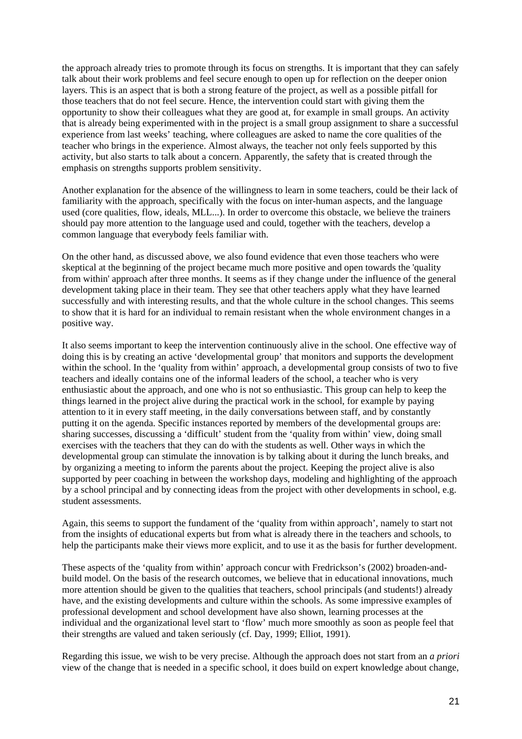the approach already tries to promote through its focus on strengths. It is important that they can safely talk about their work problems and feel secure enough to open up for reflection on the deeper onion layers. This is an aspect that is both a strong feature of the project, as well as a possible pitfall for those teachers that do not feel secure. Hence, the intervention could start with giving them the opportunity to show their colleagues what they are good at, for example in small groups. An activity that is already being experimented with in the project is a small group assignment to share a successful experience from last weeks' teaching, where colleagues are asked to name the core qualities of the teacher who brings in the experience. Almost always, the teacher not only feels supported by this activity, but also starts to talk about a concern. Apparently, the safety that is created through the emphasis on strengths supports problem sensitivity.

Another explanation for the absence of the willingness to learn in some teachers, could be their lack of familiarity with the approach, specifically with the focus on inter-human aspects, and the language used (core qualities, flow, ideals, MLL...). In order to overcome this obstacle, we believe the trainers should pay more attention to the language used and could, together with the teachers, develop a common language that everybody feels familiar with.

On the other hand, as discussed above, we also found evidence that even those teachers who were skeptical at the beginning of the project became much more positive and open towards the 'quality from within' approach after three months. It seems as if they change under the influence of the general development taking place in their team. They see that other teachers apply what they have learned successfully and with interesting results, and that the whole culture in the school changes. This seems to show that it is hard for an individual to remain resistant when the whole environment changes in a positive way.

It also seems important to keep the intervention continuously alive in the school. One effective way of doing this is by creating an active 'developmental group' that monitors and supports the development within the school. In the 'quality from within' approach, a developmental group consists of two to five teachers and ideally contains one of the informal leaders of the school, a teacher who is very enthusiastic about the approach, and one who is not so enthusiastic. This group can help to keep the things learned in the project alive during the practical work in the school, for example by paying attention to it in every staff meeting, in the daily conversations between staff, and by constantly putting it on the agenda. Specific instances reported by members of the developmental groups are: sharing successes, discussing a 'difficult' student from the 'quality from within' view, doing small exercises with the teachers that they can do with the students as well. Other ways in which the developmental group can stimulate the innovation is by talking about it during the lunch breaks, and by organizing a meeting to inform the parents about the project. Keeping the project alive is also supported by peer coaching in between the workshop days, modeling and highlighting of the approach by a school principal and by connecting ideas from the project with other developments in school, e.g. student assessments.

Again, this seems to support the fundament of the 'quality from within approach', namely to start not from the insights of educational experts but from what is already there in the teachers and schools, to help the participants make their views more explicit, and to use it as the basis for further development.

These aspects of the 'quality from within' approach concur with Fredrickson's (2002) broaden-andbuild model. On the basis of the research outcomes, we believe that in educational innovations, much more attention should be given to the qualities that teachers, school principals (and students!) already have, and the existing developments and culture within the schools. As some impressive examples of professional development and school development have also shown, learning processes at the individual and the organizational level start to 'flow' much more smoothly as soon as people feel that their strengths are valued and taken seriously (cf. Day, 1999; Elliot, 1991).

Regarding this issue, we wish to be very precise. Although the approach does not start from an *a priori* view of the change that is needed in a specific school, it does build on expert knowledge about change,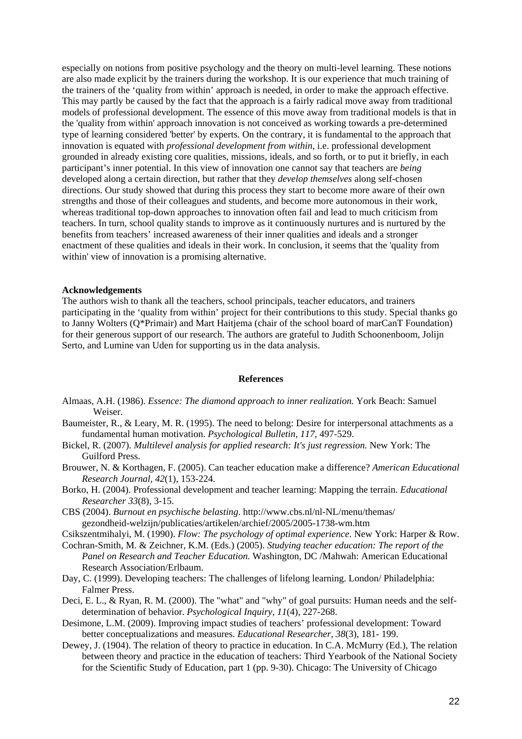especially on notions from positive psychology and the theory on multi-level learning. These notions are also made explicit by the trainers during the workshop. It is our experience that much training of the trainers of the 'quality from within' approach is needed, in order to make the approach effective. This may partly be caused by the fact that the approach is a fairly radical move away from traditional models of professional development. The essence of this move away from traditional models is that in the 'quality from within' approach innovation is not conceived as working towards a pre-determined type of learning considered 'better' by experts. On the contrary, it is fundamental to the approach that innovation is equated with *professional development from within*, i.e. professional development grounded in already existing core qualities, missions, ideals, and so forth, or to put it briefly, in each participant's inner potential. In this view of innovation one cannot say that teachers are *being* developed along a certain direction, but rather that they *develop themselves* along self-chosen directions. Our study showed that during this process they start to become more aware of their own strengths and those of their colleagues and students, and become more autonomous in their work, whereas traditional top-down approaches to innovation often fail and lead to much criticism from teachers. In turn, school quality stands to improve as it continuously nurtures and is nurtured by the benefits from teachers' increased awareness of their inner qualities and ideals and a stronger enactment of these qualities and ideals in their work. In conclusion, it seems that the 'quality from within' view of innovation is a promising alternative.

#### **Acknowledgements**

The authors wish to thank all the teachers, school principals, teacher educators, and trainers participating in the 'quality from within' project for their contributions to this study. Special thanks go to Janny Wolters (Q\*Primair) and Mart Haitjema (chair of the school board of marCanT Foundation) for their generous support of our research. The authors are grateful to Judith Schoonenboom, Jolijn Serto, and Lumine van Uden for supporting us in the data analysis.

#### **References**

- Almaas, A.H. (1986). *Essence: The diamond approach to inner realization.* York Beach: Samuel Weiser
- Baumeister, R., & Leary, M. R. (1995). The need to belong: Desire for interpersonal attachments as a fundamental human motivation. *Psychological Bulletin, 117*, 497-529.
- Bickel, R. (2007). *Multilevel analysis for applied research: It's just regression.* New York: The Guilford Press.
- Brouwer, N. & Korthagen, F. (2005). Can teacher education make a difference? *American Educational Research Journal, 42*(1), 153-224.
- Borko, H. (2004). Professional development and teacher learning: Mapping the terrain. *Educational Researcher 33*(8), 3-15.
- CBS (2004). *Burnout en psychische belasting*. http://www.cbs.nl/nl-NL/menu/themas/ gezondheid-welzijn/publicaties/artikelen/archief/2005/2005-1738-wm.htm
- Csikszentmihalyi, M. (1990). *Flow: The psychology of optimal experience*. New York: Harper & Row.
- Cochran-Smith, M. & Zeichner, K.M. (Eds.) (2005). *Studying teacher education: The report of the Panel on Research and Teacher Education.* Washington, DC /Mahwah: American Educational Research Association/Erlbaum.
- Day, C. (1999). Developing teachers: The challenges of lifelong learning. London/ Philadelphia: Falmer Press.
- Deci, E. L., & Ryan, R. M. (2000). The "what" and "why" of goal pursuits: Human needs and the selfdetermination of behavior. *Psychological Inquiry, 11*(4), 227-268.
- Desimone, L.M. (2009). Improving impact studies of teachers' professional development: Toward better conceptualizations and measures. *Educational Researcher, 38*(3), 181- 199.
- Dewey, J. (1904). The relation of theory to practice in education. In C.A. McMurry (Ed.), The relation between theory and practice in the education of teachers: Third Yearbook of the National Society for the Scientific Study of Education, part 1 (pp. 9-30). Chicago: The University of Chicago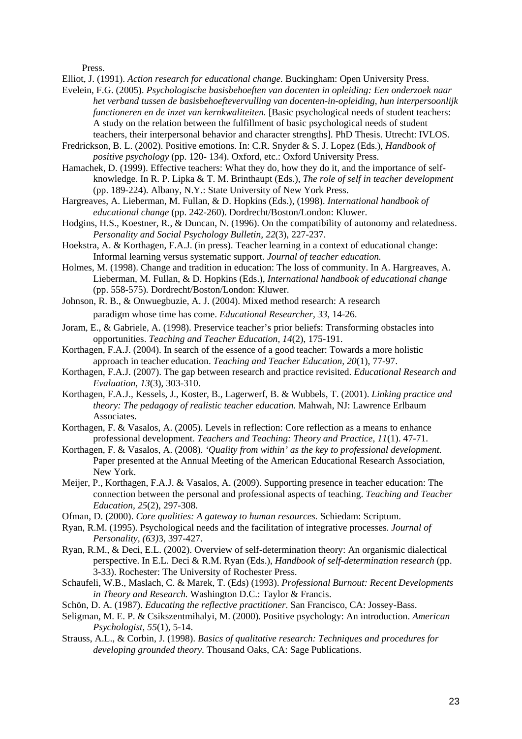Press.

Elliot, J. (1991). *Action research for educational change.* Buckingham: Open University Press.

Evelein, F.G. (2005). *Psychologische basisbehoeften van docenten in opleiding: Een onderzoek naar het verband tussen de basisbehoeftevervulling van docenten-in-opleiding, hun interpersoonlijk functioneren en de inzet van kernkwaliteiten.* [Basic psychological needs of student teachers: A study on the relation between the fulfillment of basic psychological needs of student teachers, their interpersonal behavior and character strengths]. PhD Thesis. Utrecht: IVLOS.

Fredrickson, B. L. (2002). Positive emotions. In: C.R. Snyder & S. J. Lopez (Eds.), *Handbook of positive psychology* (pp. 120- 134). Oxford, etc.: Oxford University Press.

Hamachek, D. (1999). Effective teachers: What they do, how they do it, and the importance of selfknowledge. In R. P. Lipka & T. M. Brinthaupt (Eds.), *The role of self in teacher development* (pp. 189-224). Albany, N.Y.: State University of New York Press.

- Hargreaves, A. Lieberman, M. Fullan, & D. Hopkins (Eds.), (1998). *International handbook of educational change* (pp. 242-260). Dordrecht/Boston/London: Kluwer.
- Hodgins, H.S., Koestner, R., & Duncan, N. (1996). On the compatibility of autonomy and relatedness. *Personality and Social Psychology Bulletin, 22*(3), 227-237.
- Hoekstra, A. & Korthagen, F.A.J. (in press). Teacher learning in a context of educational change: Informal learning versus systematic support. *Journal of teacher education.*
- Holmes, M. (1998). Change and tradition in education: The loss of community. In A. Hargreaves, A. Lieberman, M. Fullan, & D. Hopkins (Eds.), *International handbook of educational change* (pp. 558-575). Dordrecht/Boston/London: Kluwer.
- Johnson, R. B., & Onwuegbuzie, A. J. (2004). Mixed method research: A research paradigm whose time has come. *Educational Researcher, 33*, 14-26.
- Joram, E., & Gabriele, A. (1998). Preservice teacher's prior beliefs: Transforming obstacles into opportunities. *Teaching and Teacher Education, 14*(2), 175-191.
- Korthagen, F.A.J. (2004). In search of the essence of a good teacher: Towards a more holistic approach in teacher education. *Teaching and Teacher Education, 20*(1), 77-97.
- Korthagen, F.A.J. (2007). The gap between research and practice revisited. *Educational Research and Evaluation, 13*(3), 303-310.
- Korthagen, F.A.J., Kessels, J., Koster, B., Lagerwerf, B. & Wubbels, T. (2001). *Linking practice and theory: The pedagogy of realistic teacher education.* Mahwah, NJ: Lawrence Erlbaum Associates.
- Korthagen, F. & Vasalos, A. (2005). Levels in reflection: Core reflection as a means to enhance professional development. *Teachers and Teaching: Theory and Practice, 11*(1). 47-71.
- Korthagen, F. & Vasalos, A. (2008). *'Quality from within' as the key to professional development.*  Paper presented at the Annual Meeting of the American Educational Research Association, New York.
- Meijer, P., Korthagen, F.A.J. & Vasalos, A. (2009). Supporting presence in teacher education: The connection between the personal and professional aspects of teaching. *Teaching and Teacher Education, 25*(2), 297-308.
- Ofman, D. (2000). *Core qualities: A gateway to human resources.* Schiedam: Scriptum.
- Ryan, R.M. (1995). Psychological needs and the facilitation of integrative processes. *Journal of Personality, (63)*3, 397-427.
- Ryan, R.M., & Deci, E.L. (2002). Overview of self-determination theory: An organismic dialectical perspective. In E.L. Deci & R.M. Ryan (Eds.), *Handbook of self-determination research* (pp. 3-33). Rochester: The University of Rochester Press.
- Schaufeli, W.B., Maslach, C. & Marek, T. (Eds) (1993). *Professional Burnout: Recent Developments in Theory and Research.* Washington D.C.: Taylor & Francis.
- Schön, D. A. (1987). *Educating the reflective practitioner*. San Francisco, CA: Jossey-Bass.
- Seligman, M. E. P. & Csikszentmihalyi, M. (2000). Positive psychology: An introduction. *American Psychologist, 55*(1), 5-14.
- Strauss, A.L., & Corbin, J. (1998). *Basics of qualitative research: Techniques and procedures for developing grounded theory*. Thousand Oaks, CA: Sage Publications.